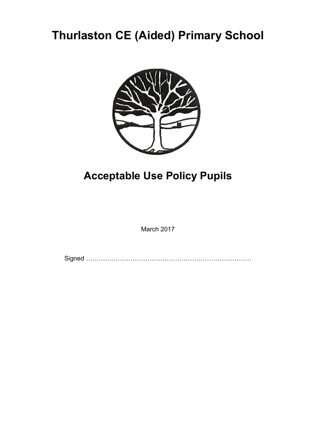# **Thurlaston CE (Aided) Primary School**



## **Acceptable Use Policy Pupils**

March 2017

Signed ……………………………………………………………………